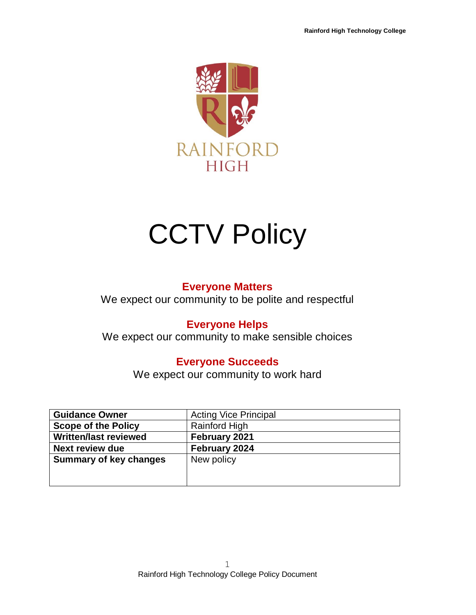

# **CCTV Policy**

### **Everyone Matters**

We expect our community to be polite and respectful

## **Everyone Helps**

We expect our community to make sensible choices

## **Everyone Succeeds**

We expect our community to work hard

| <b>Guidance Owner</b>         | <b>Acting Vice Principal</b> |
|-------------------------------|------------------------------|
| <b>Scope of the Policy</b>    | Rainford High                |
| <b>Written/last reviewed</b>  | February 2021                |
| <b>Next review due</b>        | February 2024                |
| <b>Summary of key changes</b> | New policy                   |
|                               |                              |
|                               |                              |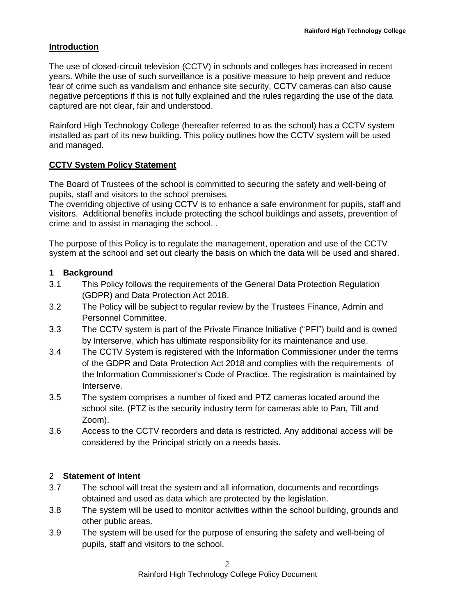#### **Introduction**

The use of closed-circuit television (CCTV) in schools and colleges has increased in recent years. While the use of such surveillance is a positive measure to help prevent and reduce fear of crime such as vandalism and enhance site security, CCTV cameras can also cause negative perceptions if this is not fully explained and the rules regarding the use of the data captured are not clear, fair and understood.

Rainford High Technology College (hereafter referred to as the school) has a CCTV system installed as part of its new building. This policy outlines how the CCTV system will be used and managed.

#### **CCTV System Policy Statement**

The Board of Trustees of the school is committed to securing the safety and well-being of pupils, staff and visitors to the school premises.

The overriding objective of using CCTV is to enhance a safe environment for pupils, staff and visitors. Additional benefits include protecting the school buildings and assets, prevention of crime and to assist in managing the school. .

The purpose of this Policy is to regulate the management, operation and use of the CCTV system at the school and set out clearly the basis on which the data will be used and shared.

#### **1 Background**

- 3.1 This Policy follows the requirements of the General Data Protection Regulation (GDPR) and Data Protection Act 2018.
- 3.2 The Policy will be subject to regular review by the Trustees Finance, Admin and Personnel Committee.
- 3.3 The CCTV system is part of the Private Finance Initiative ("PFI") build and is owned by Interserve, which has ultimate responsibility for its maintenance and use.
- 3.4 The CCTV System is registered with the Information Commissioner under the terms of the GDPR and Data Protection Act 2018 and complies with the requirements of the Information Commissioner's Code of Practice. The registration is maintained by Interserve.
- 3.5 The system comprises a number of fixed and PTZ cameras located around the school site. (PTZ is the security industry term for cameras able to Pan, Tilt and Zoom).
- 3.6 Access to the CCTV recorders and data is restricted. Any additional access will be considered by the Principal strictly on a needs basis.

#### 2 **Statement of Intent**

- 3.7 The school will treat the system and all information, documents and recordings obtained and used as data which are protected by the legislation.
- 3.8 The system will be used to monitor activities within the school building, grounds and other public areas.
- 3.9 The system will be used for the purpose of ensuring the safety and well-being of pupils, staff and visitors to the school.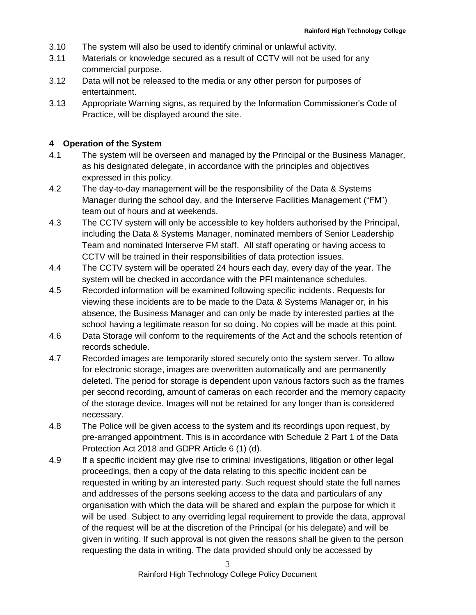- 3.10 The system will also be used to identify criminal or unlawful activity.
- 3.11 Materials or knowledge secured as a result of CCTV will not be used for any commercial purpose.
- 3.12 Data will not be released to the media or any other person for purposes of entertainment.
- 3.13 Appropriate Warning signs, as required by the Information Commissioner's Code of Practice, will be displayed around the site.

#### **4 Operation of the System**

- 4.1 The system will be overseen and managed by the Principal or the Business Manager, as his designated delegate, in accordance with the principles and objectives expressed in this policy.
- 4.2 The day-to-day management will be the responsibility of the Data & Systems Manager during the school day, and the Interserve Facilities Management ("FM") team out of hours and at weekends.
- 4.3 The CCTV system will only be accessible to key holders authorised by the Principal, including the Data & Systems Manager, nominated members of Senior Leadership Team and nominated Interserve FM staff. All staff operating or having access to CCTV will be trained in their responsibilities of data protection issues.
- 4.4 The CCTV system will be operated 24 hours each day, every day of the year. The system will be checked in accordance with the PFI maintenance schedules.
- 4.5 Recorded information will be examined following specific incidents. Requests for viewing these incidents are to be made to the Data & Systems Manager or, in his absence, the Business Manager and can only be made by interested parties at the school having a legitimate reason for so doing. No copies will be made at this point.
- 4.6 Data Storage will conform to the requirements of the Act and the schools retention of records schedule.
- 4.7 Recorded images are temporarily stored securely onto the system server. To allow for electronic storage, images are overwritten automatically and are permanently deleted. The period for storage is dependent upon various factors such as the frames per second recording, amount of cameras on each recorder and the memory capacity of the storage device. Images will not be retained for any longer than is considered necessary.
- 4.8 The Police will be given access to the system and its recordings upon request, by pre-arranged appointment. This is in accordance with Schedule 2 Part 1 of the Data Protection Act 2018 and GDPR Article 6 (1) (d).
- 4.9 If a specific incident may give rise to criminal investigations, litigation or other legal proceedings, then a copy of the data relating to this specific incident can be requested in writing by an interested party. Such request should state the full names and addresses of the persons seeking access to the data and particulars of any organisation with which the data will be shared and explain the purpose for which it will be used. Subject to any overriding legal requirement to provide the data, approval of the request will be at the discretion of the Principal (or his delegate) and will be given in writing. If such approval is not given the reasons shall be given to the person requesting the data in writing. The data provided should only be accessed by